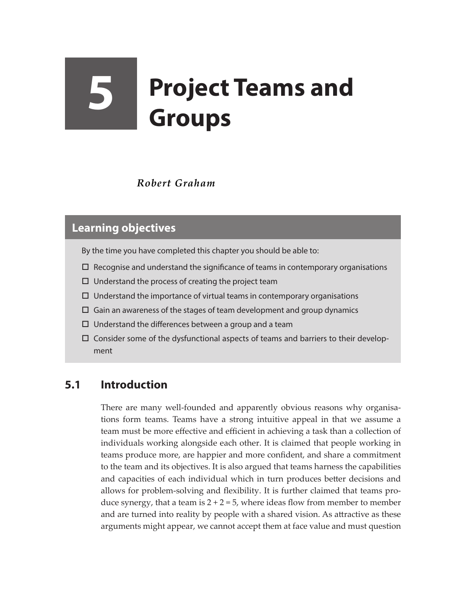# **5 Project Teams and Groups**

#### *Robert Graham*

#### **Learning objectives**

By the time you have completed this chapter you should be able to:

- $\Box$  Recognise and understand the significance of teams in contemporary organisations
- $\square$  Understand the process of creating the project team
- $\Box$  Understand the importance of virtual teams in contemporary organisations
- $\Box$  Gain an awareness of the stages of team development and group dynamics
- $\Box$  Understand the differences between a group and a team
- $\Box$  Consider some of the dysfunctional aspects of teams and barriers to their development

#### **5.1 Introduction**

There are many well-founded and apparently obvious reasons why organisations form teams. Teams have a strong intuitive appeal in that we assume a team must be more effective and efficient in achieving a task than a collection of individuals working alongside each other. It is claimed that people working in teams produce more, are happier and more confident, and share a commitment to the team and its objectives. It is also argued that teams harness the capabilities and capacities of each individual which in turn produces better decisions and allows for problem-solving and flexibility. It is further claimed that teams produce synergy, that a team is  $2 + 2 = 5$ , where ideas flow from member to member and are turned into reality by people with a shared vision. As attractive as these arguments might appear, we cannot accept them at face value and must question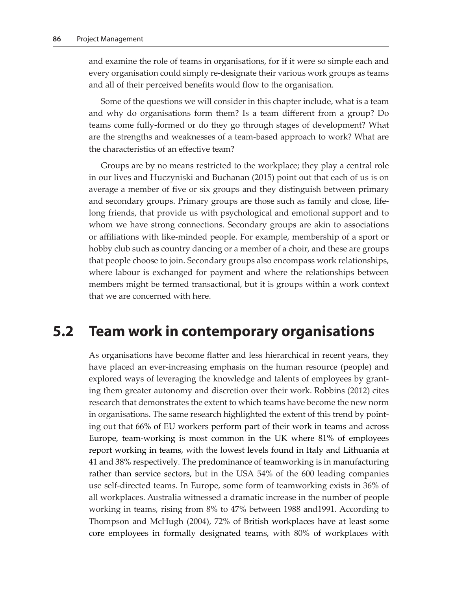and examine the role of teams in organisations, for if it were so simple each and every organisation could simply re-designate their various work groups as teams and all of their perceived benefits would flow to the organisation.

Some of the questions we will consider in this chapter include, what is a team and why do organisations form them? Is a team different from a group? Do teams come fully-formed or do they go through stages of development? What are the strengths and weaknesses of a team-based approach to work? What are the characteristics of an effective team?

Groups are by no means restricted to the workplace; they play a central role in our lives and Huczyniski and Buchanan (2015) point out that each of us is on average a member of five or six groups and they distinguish between primary and secondary groups. Primary groups are those such as family and close, lifelong friends, that provide us with psychological and emotional support and to whom we have strong connections. Secondary groups are akin to associations or affiliations with like-minded people. For example, membership of a sport or hobby club such as country dancing or a member of a choir, and these are groups that people choose to join. Secondary groups also encompass work relationships, where labour is exchanged for payment and where the relationships between members might be termed transactional, but it is groups within a work context that we are concerned with here.

## **5.2 Team work in contemporary organisations**

As organisations have become flatter and less hierarchical in recent years, they have placed an ever-increasing emphasis on the human resource (people) and explored ways of leveraging the knowledge and talents of employees by granting them greater autonomy and discretion over their work. Robbins (2012) cites research that demonstrates the extent to which teams have become the new norm in organisations. The same research highlighted the extent of this trend by pointing out that 66% of EU workers perform part of their work in teams and across Europe, team-working is most common in the UK where 81% of employees report working in teams, with the lowest levels found in Italy and Lithuania at 41 and 38% respectively. The predominance of teamworking is in manufacturing rather than service sectors, but in the USA 54% of the 600 leading companies use self-directed teams. In Europe, some form of teamworking exists in 36% of all workplaces. Australia witnessed a dramatic increase in the number of people working in teams, rising from 8% to 47% between 1988 and1991. According to Thompson and McHugh (2004), 72% of British workplaces have at least some core employees in formally designated teams, with 80% of workplaces with